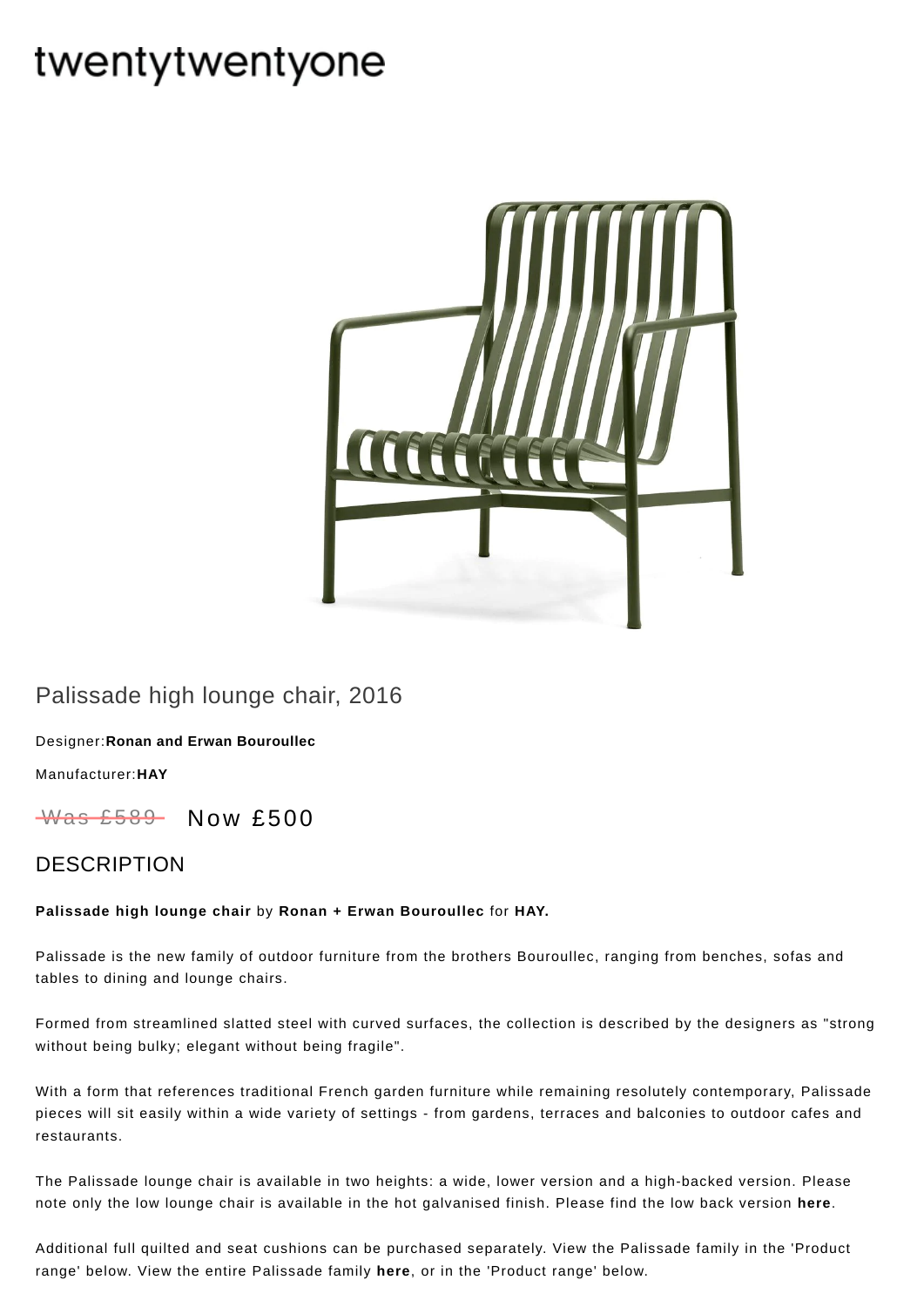# twentytwentyone



## Palissade high lounge chair, 2016

Designer:**Ronan and Erwan [Bouroullec](https://www.twentytwentyone.com/collections/designers-ronan-and-erwan-bouroullec)**

[Manufacturer:](https://www.twentytwentyone.com/collections/manufacturers-hay)**HAY**

Was £589 Now £500

### DESCRIPTION

#### **Palissade high lounge chair** by **Ronan + Erwan [Bouroullec](http://twentytwentyone.com/designer/ronan-erwan-bouroullec)** for **[HAY.](http://twentytwentyone.com/manufacturer/hay)**

Palissade is the new family of outdoor furniture from the brothers Bouroullec, ranging from benches, sofas and tables to dining and lounge chairs.

Formed from streamlined slatted steel with curved surfaces, the collection is described by the designers as "strong without being bulky; elegant without being fragile".

With a form that references traditional French garden furniture while remaining resolutely contemporary, Palissade pieces will sit easily within a wide variety of settings - from gardens, terraces and balconies to outdoor cafes and restaurants.

The Palissade lounge chair is available in two heights: a wide, lower version and a high-backed version. Please note only the low lounge chair is available in the hot galvanised finish. Please find the low back version **[here](https://www.twentytwentyone.com/products/hay-bouroullec-palissade-low-lounge-chair)**.

Additional full [quilted](https://www.twentytwentyone.com/products/hay-ronan-and-erwan-bouroullec-palissade-quilted-cushions) and [seat](https://www.twentytwentyone.com/products/hay-ronan-and-erwan-bouroullec-palissade-seat-cushions) cushions can be purchased separately. View the Palissade family in the 'Product range' below. View the entire Palissade family **[here](http://twentytwentyone.com/designer/ronan-erwan-bouroullec)**, or in the 'Product range' below.